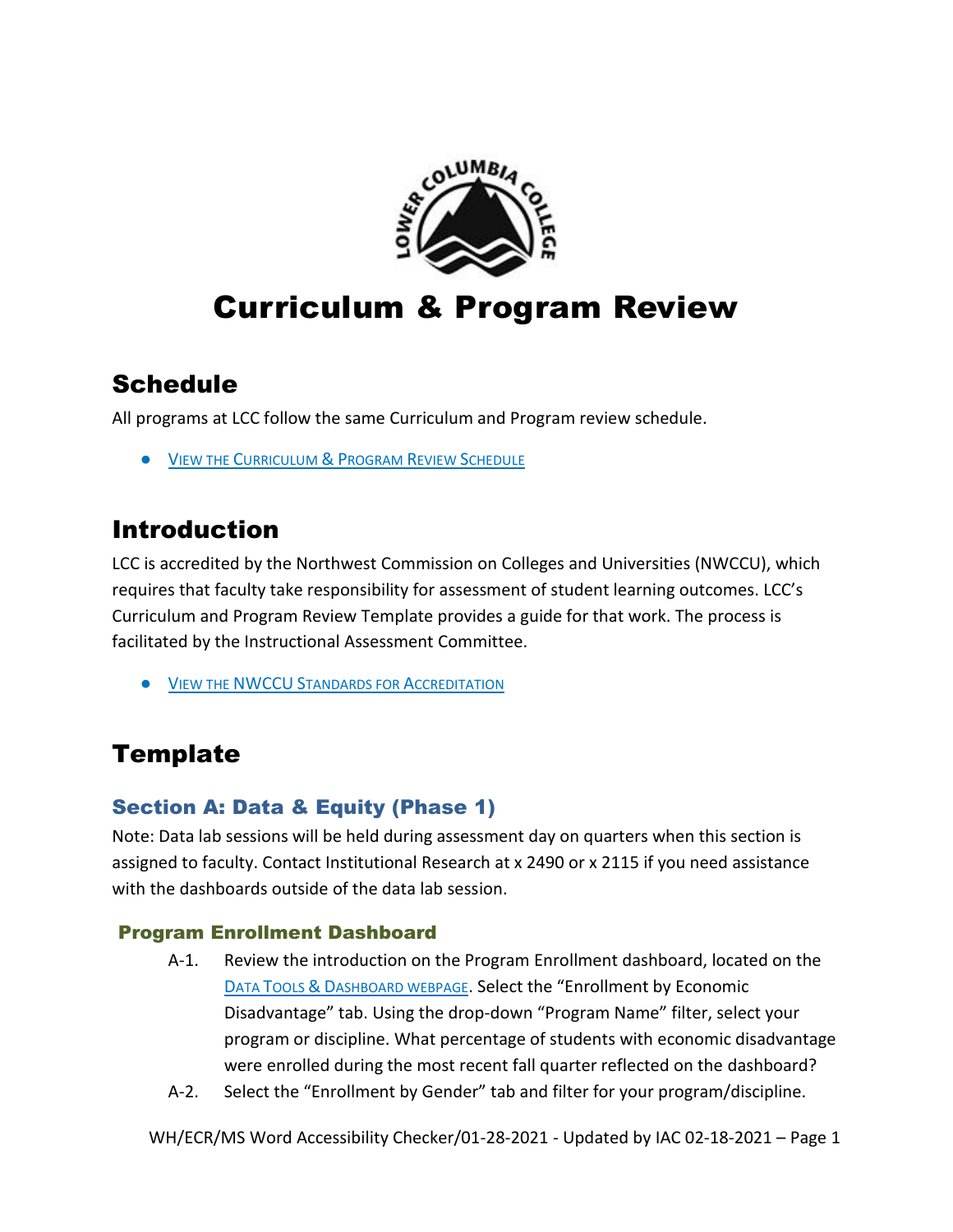

# Curriculum & Program Review

# **Schedule**

All programs at LCC follow the same Curriculum and Program review schedule.

**• VIEW THE C[URRICULUM](http://internal.lowercolumbia.edu/faculty-tools/assessment/assessment-schedule.php) & PROGRAM REVIEW SCHEDULE** 

# Introduction

LCC is accredited by the Northwest Commission on Colleges and Universities (NWCCU), which requires that faculty take responsibility for assessment of student learning outcomes. LCC's Curriculum and Program Review Template provides a guide for that work. The process is facilitated by the Instructional Assessment Committee.

**• VIEW THE NWCCU S[TANDARDS FOR](http://www.nwccu.org/accreditation/standards-policies/standards/) ACCREDITATION** 

# **Template**

# Section A: Data & Equity (Phase 1)

Note: Data lab sessions will be held during assessment day on quarters when this section is assigned to faculty. Contact Institutional Research at x 2490 or x 2115 if you need assistance with the dashboards outside of the data lab session.

### Program Enrollment Dashboard

- A-1. Review the introduction on the Program Enrollment dashboard, located on the DATA TOOLS & D[ASHBOARD WEBPAGE](http://internal.lowercolumbia.edu/faculty-tools/data-tools.php). Select the "Enrollment by Economic Disadvantage" tab. Using the drop-down "Program Name" filter, select your program or discipline. What percentage of students with economic disadvantage were enrolled during the most recent fall quarter reflected on the dashboard?
- A-2. Select the "Enrollment by Gender" tab and filter for your program/discipline.

WH/ECR/MS Word Accessibility Checker/01-28-2021 - Updated by IAC 02-18-2021 – Page 1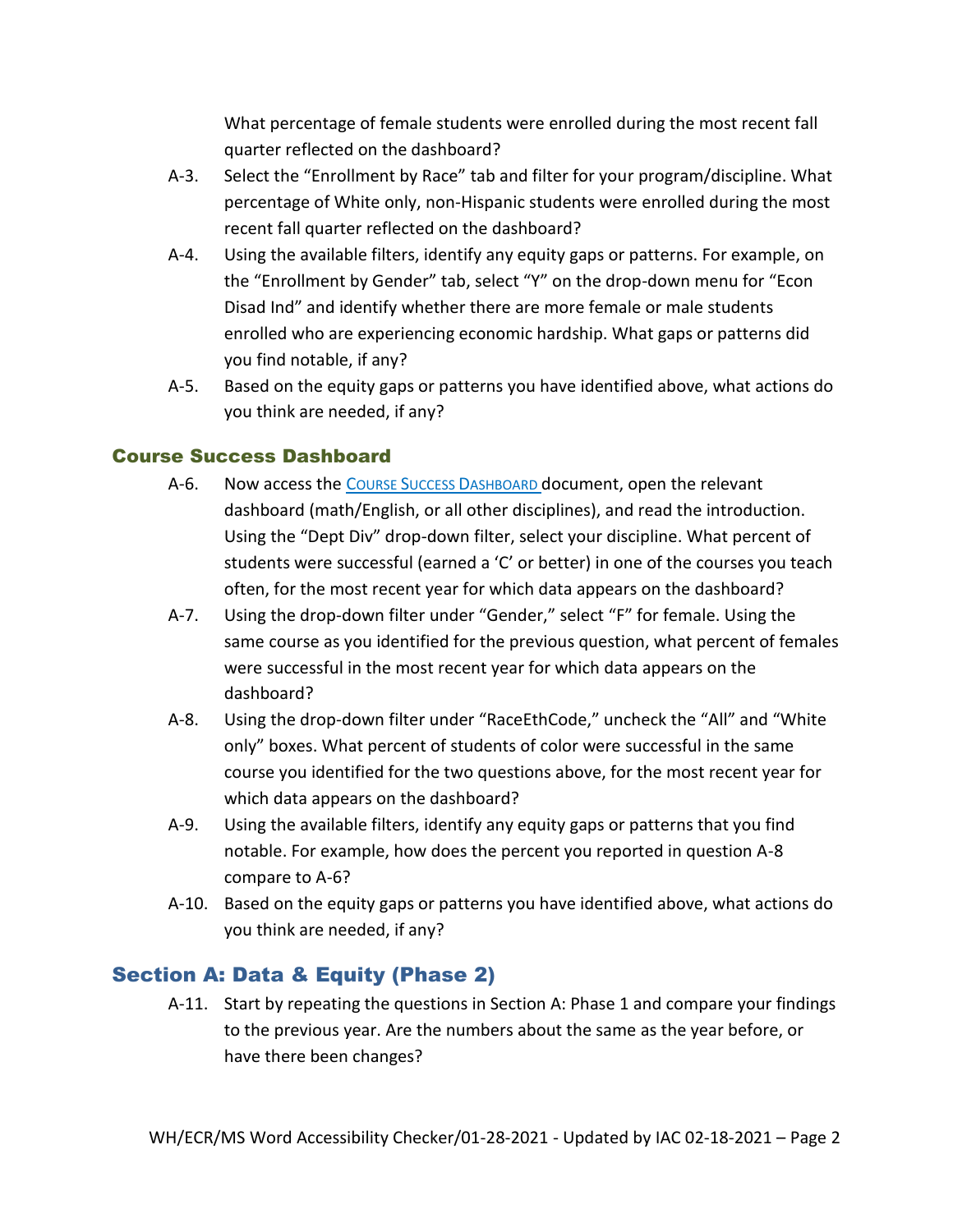What percentage of female students were enrolled during the most recent fall quarter reflected on the dashboard?

- A-3. Select the "Enrollment by Race" tab and filter for your program/discipline. What percentage of White only, non-Hispanic students were enrolled during the most recent fall quarter reflected on the dashboard?
- A-4. Using the available filters, identify any equity gaps or patterns. For example, on the "Enrollment by Gender" tab, select "Y" on the drop-down menu for "Econ Disad Ind" and identify whether there are more female or male students enrolled who are experiencing economic hardship. What gaps or patterns did you find notable, if any?
- A-5. Based on the equity gaps or patterns you have identified above, what actions do you think are needed, if any?

#### Course Success Dashboard

- A-6. Now access the COURSE SUCCESS DASHBOARD document, open the relevant dashboard (math/English, or all other disciplines), and read the introduction. Using the "Dept Div" drop-down filter, select your discipline. What percent of students were successful (earned a 'C' or better) in one of the courses you teach often, for the most recent year for which data appears on the dashboard?
- A-7. Using the drop-down filter under "Gender," select "F" for female. Using the same course as you identified for the previous question, what percent of females were successful in the most recent year for which data appears on the dashboard?
- A-8. Using the drop-down filter under "RaceEthCode," uncheck the "All" and "White only" boxes. What percent of students of color were successful in the same course you identified for the two questions above, for the most recent year for which data appears on the dashboard?
- A-9. Using the available filters, identify any equity gaps or patterns that you find notable. For example, how does the percent you reported in question A-8 compare to A-6?
- A-10. Based on the equity gaps or patterns you have identified above, what actions do you think are needed, if any?

# Section A: Data & Equity (Phase 2)

A-11. Start by repeating the questions in Section A: Phase 1 and compare your findings to the previous year. Are the numbers about the same as the year before, or have there been changes?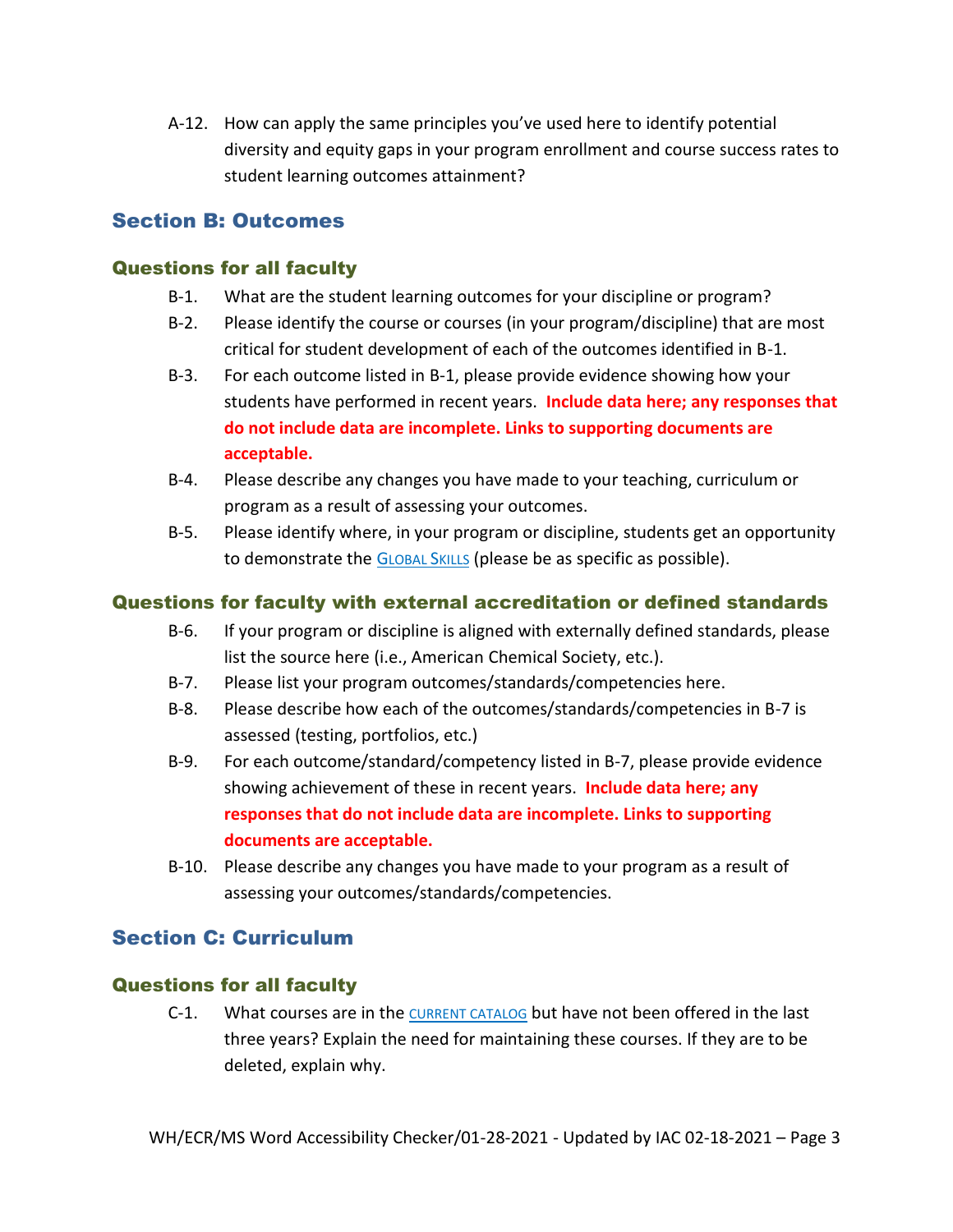A-12. How can apply the same principles you've used here to identify potential diversity and equity gaps in your program enrollment and course success rates to student learning outcomes attainment?

### Section B: Outcomes

#### Questions for all faculty

- B-1. What are the student learning outcomes for your discipline or program?
- B-2. Please identify the course or courses (in your program/discipline) that are most critical for student development of each of the outcomes identified in B-1.
- B-3. For each outcome listed in B-1, please provide evidence showing how your students have performed in recent years. **Include data here; any responses that do not include data are incomplete. Links to supporting documents are acceptable.**
- B-4. Please describe any changes you have made to your teaching, curriculum or program as a result of assessing your outcomes.
- B-5. Please identify where, in your program or discipline, students get an opportunity to demonstrate the G[LOBAL](http://internal.lowercolumbia.edu/faculty-tools/assessment/global-skills.php) SKILLS (please be as specific as possible).

#### Questions for faculty with external accreditation or defined standards

- B-6. If your program or discipline is aligned with externally defined standards, please list the source here (i.e., American Chemical Society, etc.).
- B-7. Please list your program outcomes/standards/competencies here.
- B-8. Please describe how each of the outcomes/standards/competencies in B-7 is assessed (testing, portfolios, etc.)
- B-9. For each outcome/standard/competency listed in B-7, please provide evidence showing achievement of these in recent years. **Include data here; any responses that do not include data are incomplete. Links to supporting documents are acceptable.**
- B-10. Please describe any changes you have made to your program as a result of assessing your outcomes/standards/competencies.

# Section C: Curriculum

#### Questions for all faculty

C-1. What courses are in the [CURRENT CATALOG](https://lowercolumbia.edu/publications/catalog-archive/index.php) but have not been offered in the last three years? Explain the need for maintaining these courses. If they are to be deleted, explain why.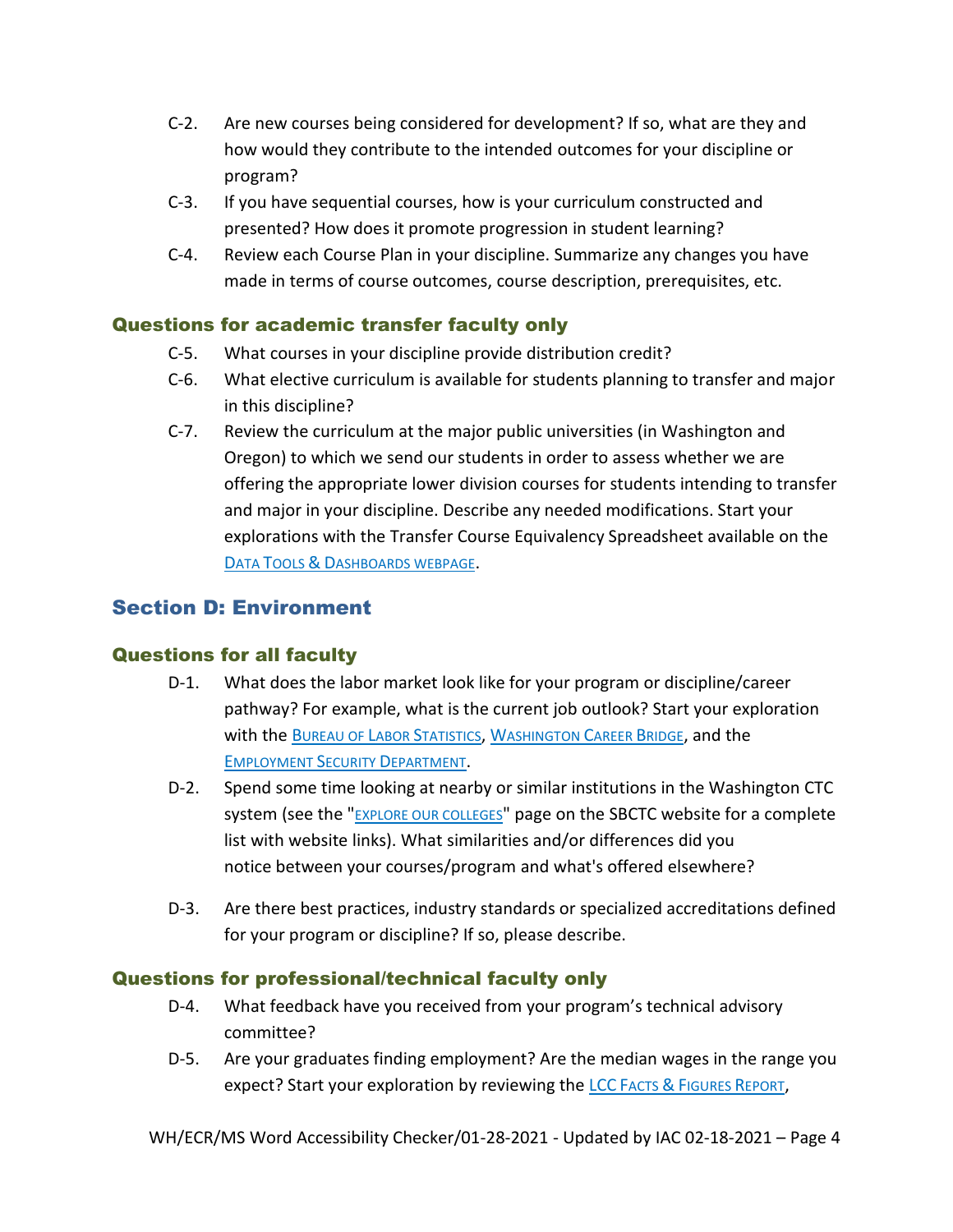- C-2. Are new courses being considered for development? If so, what are they and how would they contribute to the intended outcomes for your discipline or program?
- C-3. If you have sequential courses, how is your curriculum constructed and presented? How does it promote progression in student learning?
- C-4. Review each Course Plan in your discipline. Summarize any changes you have made in terms of course outcomes, course description, prerequisites, etc.

#### Questions for academic transfer faculty only

- C-5. What courses in your discipline provide distribution credit?
- C-6. What elective curriculum is available for students planning to transfer and major in this discipline?
- C-7. Review the curriculum at the major public universities (in Washington and Oregon) to which we send our students in order to assess whether we are offering the appropriate lower division courses for students intending to transfer and major in your discipline. Describe any needed modifications. Start your explorations with the Transfer Course Equivalency Spreadsheet available on the DATA TOOLS & D[ASHBOARDS WEBPAGE](http://internal.lowercolumbia.edu/faculty-tools/data-tools.php).

# Section D: Environment

#### Questions for all faculty

- D-1. What does the labor market look like for your program or discipline/career pathway? For example, what is the current job outlook? Start your exploration with the B[UREAU OF](https://www.bls.gov/ooh/) LABOR STATISTICS, W[ASHINGTON](http://www.careerbridge.wa.gov/Home_ExploreCareers.aspx) CAREER BRIDGE, and the E[MPLOYMENT](https://esd.wa.gov/labormarketinfo) SECURITY DEPARTMENT.
- D-2. Spend some time looking at nearby or similar institutions in the Washington CTC system (see the "[EXPLORE OUR COLLEGES](https://www.sbctc.edu/our-colleges/explore-colleges/default.aspx)" page on the SBCTC website for a complete list with website links). What similarities and/or differences did you notice between your courses/program and what's offered elsewhere?
- D-3. Are there best practices, industry standards or specialized accreditations defined for your program or discipline? If so, please describe.

#### Questions for professional/technical faculty only

- D-4. What feedback have you received from your program's technical advisory committee?
- D-5. Are your graduates finding employment? Are the median wages in the range you expect? Start your exploration by reviewing the LCC FACTS & F[IGURES](https://lowercolumbia.edu/disclosure/fact-books.php) REPORT,

WH/ECR/MS Word Accessibility Checker/01-28-2021 - Updated by IAC 02-18-2021 – Page 4